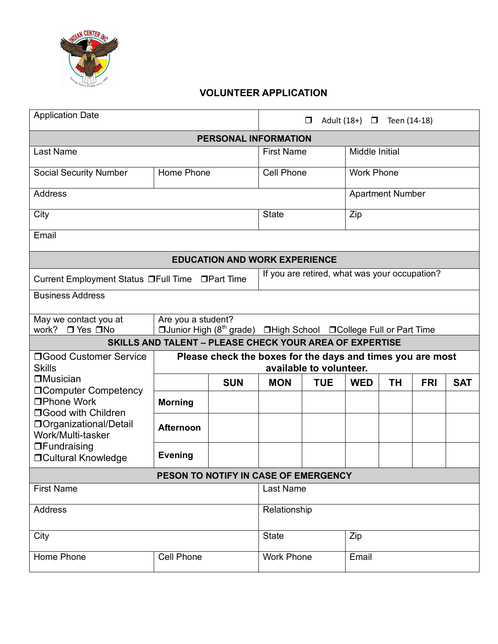

## **VOLUNTEER APPLICATION**

| <b>Application Date</b>                                             | Adult (18+) □ Teen (14-18)<br>$\Box$                                                  |                      |                                               |                                                                                 |                         |           |            |            |
|---------------------------------------------------------------------|---------------------------------------------------------------------------------------|----------------------|-----------------------------------------------|---------------------------------------------------------------------------------|-------------------------|-----------|------------|------------|
|                                                                     |                                                                                       | PERSONAL INFORMATION |                                               |                                                                                 |                         |           |            |            |
| Last Name                                                           |                                                                                       |                      | <b>First Name</b>                             |                                                                                 | Middle Initial          |           |            |            |
| <b>Social Security Number</b>                                       | Home Phone                                                                            |                      | <b>Cell Phone</b>                             |                                                                                 | <b>Work Phone</b>       |           |            |            |
| <b>Address</b>                                                      |                                                                                       |                      |                                               |                                                                                 | <b>Apartment Number</b> |           |            |            |
| City                                                                |                                                                                       |                      | <b>State</b>                                  |                                                                                 | Zip                     |           |            |            |
| Email                                                               |                                                                                       |                      |                                               |                                                                                 |                         |           |            |            |
| <b>EDUCATION AND WORK EXPERIENCE</b>                                |                                                                                       |                      |                                               |                                                                                 |                         |           |            |            |
| Current Employment Status □Full Time □Part Time                     |                                                                                       |                      | If you are retired, what was your occupation? |                                                                                 |                         |           |            |            |
| <b>Business Address</b>                                             |                                                                                       |                      |                                               |                                                                                 |                         |           |            |            |
| May we contact you at<br>work? □ Yes □ No                           | Are you a student?                                                                    |                      |                                               | □ Junior High (8 <sup>th</sup> grade) □ High School □ College Full or Part Time |                         |           |            |            |
| <b>SKILLS AND TALENT - PLEASE CHECK YOUR AREA OF EXPERTISE</b>      |                                                                                       |                      |                                               |                                                                                 |                         |           |            |            |
| □Good Customer Service<br><b>Skills</b>                             | Please check the boxes for the days and times you are most<br>available to volunteer. |                      |                                               |                                                                                 |                         |           |            |            |
| <b>□</b> Musician                                                   |                                                                                       | <b>SUN</b>           | <b>MON</b>                                    | <b>TUE</b>                                                                      | <b>WED</b>              | <b>TH</b> | <b>FRI</b> | <b>SAT</b> |
| <b>OComputer Competency</b><br>□Phone Work                          | <b>Morning</b>                                                                        |                      |                                               |                                                                                 |                         |           |            |            |
| □Good with Children<br>□ Organizational/Detail<br>Work/Multi-tasker | <b>Afternoon</b>                                                                      |                      |                                               |                                                                                 |                         |           |            |            |
| $\Box$ Fundraising<br><b>OCultural Knowledge</b>                    | <b>Evening</b>                                                                        |                      |                                               |                                                                                 |                         |           |            |            |
| PESON TO NOTIFY IN CASE OF EMERGENCY                                |                                                                                       |                      |                                               |                                                                                 |                         |           |            |            |
| <b>First Name</b>                                                   |                                                                                       |                      | Last Name                                     |                                                                                 |                         |           |            |            |
| Address                                                             |                                                                                       |                      | Relationship                                  |                                                                                 |                         |           |            |            |
| City                                                                |                                                                                       |                      | <b>State</b><br>Zip                           |                                                                                 |                         |           |            |            |
| Home Phone                                                          | <b>Cell Phone</b>                                                                     |                      | <b>Work Phone</b>                             |                                                                                 | Email                   |           |            |            |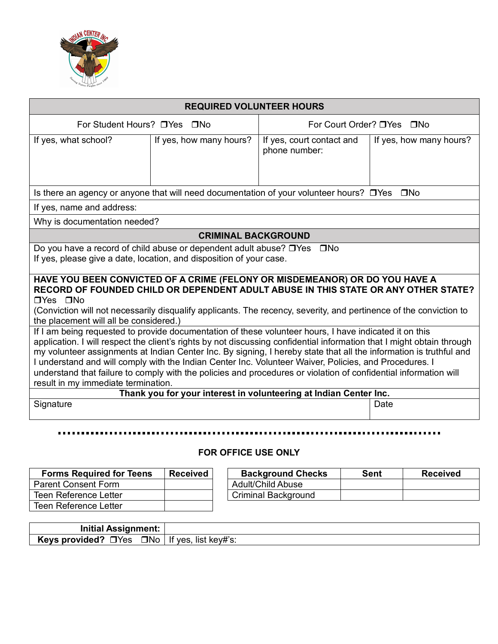

| <b>REQUIRED VOLUNTEER HOURS</b>                                                                                                                                                                                                                                                                                                                                                                                                                                                                                                                                                                                             |                            |                                            |                         |  |  |
|-----------------------------------------------------------------------------------------------------------------------------------------------------------------------------------------------------------------------------------------------------------------------------------------------------------------------------------------------------------------------------------------------------------------------------------------------------------------------------------------------------------------------------------------------------------------------------------------------------------------------------|----------------------------|--------------------------------------------|-------------------------|--|--|
| For Student Hours? □ Yes □ No                                                                                                                                                                                                                                                                                                                                                                                                                                                                                                                                                                                               |                            | For Court Order? □ Yes □ No                |                         |  |  |
| If yes, what school?                                                                                                                                                                                                                                                                                                                                                                                                                                                                                                                                                                                                        | If yes, how many hours?    | If yes, court contact and<br>phone number: | If yes, how many hours? |  |  |
| Is there an agency or anyone that will need documentation of your volunteer hours? $\Box$ Yes $\Box$ No                                                                                                                                                                                                                                                                                                                                                                                                                                                                                                                     |                            |                                            |                         |  |  |
| If yes, name and address:                                                                                                                                                                                                                                                                                                                                                                                                                                                                                                                                                                                                   |                            |                                            |                         |  |  |
| Why is documentation needed?                                                                                                                                                                                                                                                                                                                                                                                                                                                                                                                                                                                                |                            |                                            |                         |  |  |
|                                                                                                                                                                                                                                                                                                                                                                                                                                                                                                                                                                                                                             | <b>CRIMINAL BACKGROUND</b> |                                            |                         |  |  |
| Do you have a record of child abuse or dependent adult abuse? □ Yes □ No<br>If yes, please give a date, location, and disposition of your case.                                                                                                                                                                                                                                                                                                                                                                                                                                                                             |                            |                                            |                         |  |  |
| HAVE YOU BEEN CONVICTED OF A CRIME (FELONY OR MISDEMEANOR) OR DO YOU HAVE A<br>RECORD OF FOUNDED CHILD OR DEPENDENT ADULT ABUSE IN THIS STATE OR ANY OTHER STATE?<br><b>□Yes □No</b><br>(Conviction will not necessarily disqualify applicants. The recency, severity, and pertinence of the conviction to<br>the placement will all be considered.)                                                                                                                                                                                                                                                                        |                            |                                            |                         |  |  |
| If I am being requested to provide documentation of these volunteer hours, I have indicated it on this<br>application. I will respect the client's rights by not discussing confidential information that I might obtain through<br>my volunteer assignments at Indian Center Inc. By signing, I hereby state that all the information is truthful and<br>I understand and will comply with the Indian Center Inc. Volunteer Waiver, Policies, and Procedures. I<br>understand that failure to comply with the policies and procedures or violation of confidential information will<br>result in my immediate termination. |                            |                                            |                         |  |  |
| Thank you for your interest in volunteering at Indian Center Inc.                                                                                                                                                                                                                                                                                                                                                                                                                                                                                                                                                           |                            |                                            |                         |  |  |
| Signature                                                                                                                                                                                                                                                                                                                                                                                                                                                                                                                                                                                                                   | Date                       |                                            |                         |  |  |
|                                                                                                                                                                                                                                                                                                                                                                                                                                                                                                                                                                                                                             |                            |                                            |                         |  |  |

## **FOR OFFICE USE ONLY**

| <b>Forms Required for Teens</b> | <b>Received</b> | <b>Background Checks</b>   | <b>Sent</b> | <b>Received</b> |
|---------------------------------|-----------------|----------------------------|-------------|-----------------|
| <b>Parent Consent Form</b>      |                 | Adult/Child Abuse          |             |                 |
| Teen Reference Letter           |                 | <b>Criminal Background</b> |             |                 |
| Teen Reference Letter           |                 |                            |             |                 |

| <b>Initial Assignment:</b>                                        |  |
|-------------------------------------------------------------------|--|
| <b>Keys provided?</b> $\Box$ Yes $\Box$ No   If yes, list key#'s: |  |